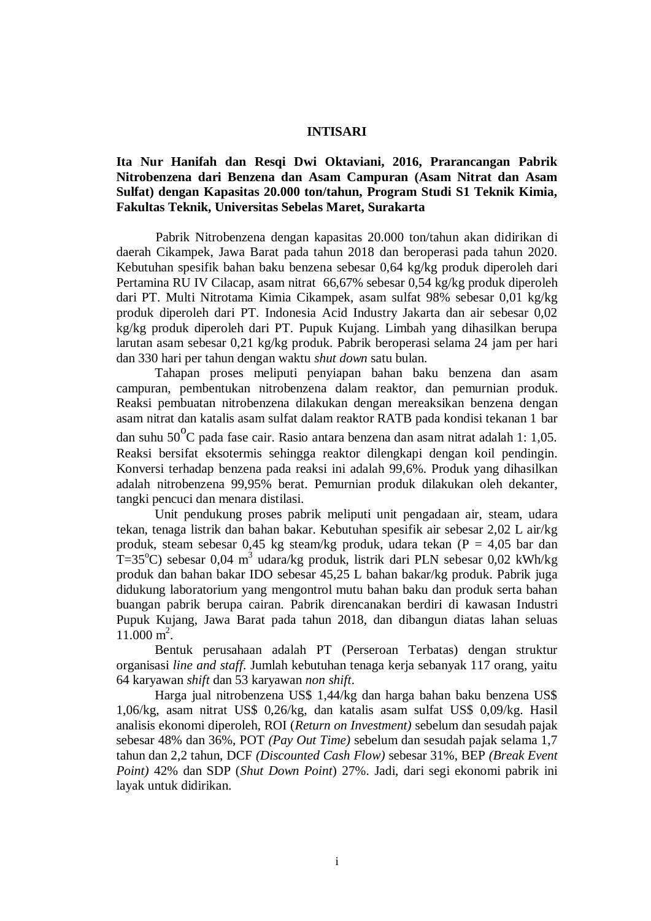## **INTISARI**

## **Ita Nur Hanifah dan Resqi Dwi Oktaviani, 2016, Prarancangan Pabrik Nitrobenzena dari Benzena dan Asam Campuran (Asam Nitrat dan Asam Sulfat) dengan Kapasitas 20.000 ton/tahun, Program Studi S1 Teknik Kimia, Fakultas Teknik, Universitas Sebelas Maret, Surakarta**

Pabrik Nitrobenzena dengan kapasitas 20.000 ton/tahun akan didirikan di daerah Cikampek, Jawa Barat pada tahun 2018 dan beroperasi pada tahun 2020. Kebutuhan spesifik bahan baku benzena sebesar 0,64 kg/kg produk diperoleh dari Pertamina RU IV Cilacap, asam nitrat 66,67% sebesar 0,54 kg/kg produk diperoleh dari PT. Multi Nitrotama Kimia Cikampek, asam sulfat 98% sebesar 0,01 kg/kg produk diperoleh dari PT. Indonesia Acid Industry Jakarta dan air sebesar 0,02 kg/kg produk diperoleh dari PT. Pupuk Kujang. Limbah yang dihasilkan berupa larutan asam sebesar 0,21 kg/kg produk. Pabrik beroperasi selama 24 jam per hari dan 330 hari per tahun dengan waktu *shut down* satu bulan.

Tahapan proses meliputi penyiapan bahan baku benzena dan asam campuran, pembentukan nitrobenzena dalam reaktor, dan pemurnian produk. Reaksi pembuatan nitrobenzena dilakukan dengan mereaksikan benzena dengan asam nitrat dan katalis asam sulfat dalam reaktor RATB pada kondisi tekanan 1 bar dan suhu 50 $\mathrm{^{0}C}$  pada fase cair. Rasio antara benzena dan asam nitrat adalah 1: 1,05. Reaksi bersifat eksotermis sehingga reaktor dilengkapi dengan koil pendingin. Konversi terhadap benzena pada reaksi ini adalah 99,6%. Produk yang dihasilkan adalah nitrobenzena 99,95% berat. Pemurnian produk dilakukan oleh dekanter, tangki pencuci dan menara distilasi.

Unit pendukung proses pabrik meliputi unit pengadaan air, steam, udara tekan, tenaga listrik dan bahan bakar. Kebutuhan spesifik air sebesar 2,02 L air/kg produk, steam sebesar 0,45 kg steam/kg produk, udara tekan (P = 4,05 bar dan  $T=35^{\circ}$ C) sebesar 0,04 m<sup>3</sup> udara/kg produk, listrik dari PLN sebesar 0,02 kWh/kg produk dan bahan bakar IDO sebesar 45,25 L bahan bakar/kg produk. Pabrik juga didukung laboratorium yang mengontrol mutu bahan baku dan produk serta bahan buangan pabrik berupa cairan. Pabrik direncanakan berdiri di kawasan Industri Pupuk Kujang, Jawa Barat pada tahun 2018, dan dibangun diatas lahan seluas 11.000 m<sup>2</sup>.

Bentuk perusahaan adalah PT (Perseroan Terbatas) dengan struktur organisasi *line and staff*. Jumlah kebutuhan tenaga kerja sebanyak 117 orang, yaitu 64 karyawan *shift* dan 53 karyawan *non shift*.

Harga jual nitrobenzena US\$ 1,44/kg dan harga bahan baku benzena US\$ 1,06/kg, asam nitrat US\$ 0,26/kg, dan katalis asam sulfat US\$ 0,09/kg. Hasil analisis ekonomi diperoleh, ROI (*Return on Investment)* sebelum dan sesudah pajak sebesar 48% dan 36%, POT *(Pay Out Time)* sebelum dan sesudah pajak selama 1,7 tahun dan 2,2 tahun, DCF *(Discounted Cash Flow)* sebesar 31%, BEP *(Break Event Point)* 42% dan SDP (*Shut Down Point*) 27%. Jadi, dari segi ekonomi pabrik ini layak untuk didirikan.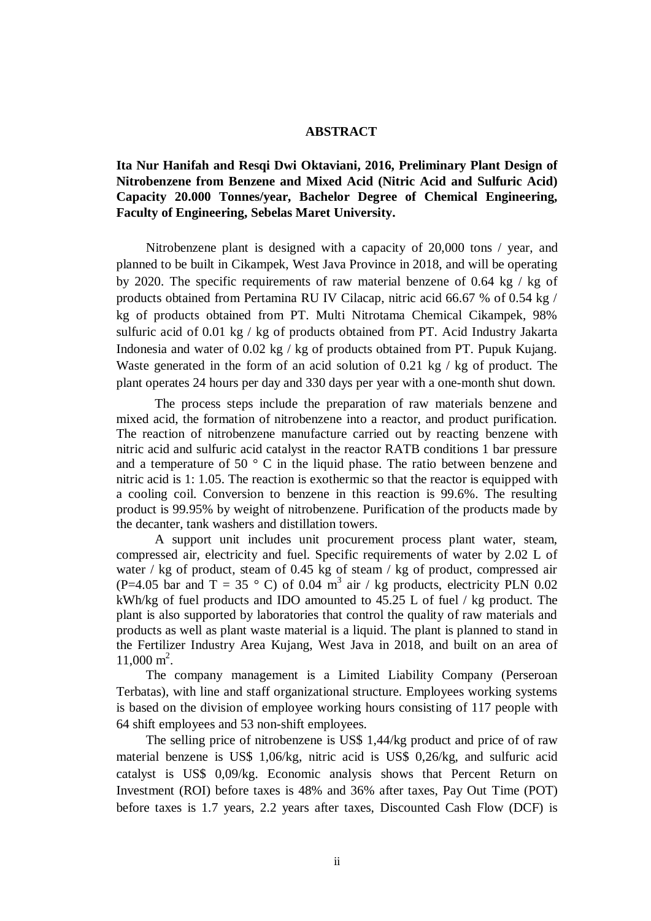## **ABSTRACT**

## **Ita Nur Hanifah and Resqi Dwi Oktaviani, 2016, Preliminary Plant Design of Nitrobenzene from Benzene and Mixed Acid (Nitric Acid and Sulfuric Acid) Capacity 20.000 Tonnes/year, Bachelor Degree of Chemical Engineering, Faculty of Engineering, Sebelas Maret University.**

Nitrobenzene plant is designed with a capacity of 20,000 tons / year, and planned to be built in Cikampek, West Java Province in 2018, and will be operating by 2020. The specific requirements of raw material benzene of 0.64 kg / kg of products obtained from Pertamina RU IV Cilacap, nitric acid 66.67 % of 0.54 kg / kg of products obtained from PT. Multi Nitrotama Chemical Cikampek, 98% sulfuric acid of 0.01 kg / kg of products obtained from PT. Acid Industry Jakarta Indonesia and water of 0.02 kg / kg of products obtained from PT. Pupuk Kujang. Waste generated in the form of an acid solution of 0.21 kg / kg of product. The plant operates 24 hours per day and 330 days per year with a one-month shut down.

The process steps include the preparation of raw materials benzene and mixed acid, the formation of nitrobenzene into a reactor, and product purification. The reaction of nitrobenzene manufacture carried out by reacting benzene with nitric acid and sulfuric acid catalyst in the reactor RATB conditions 1 bar pressure and a temperature of 50 ° C in the liquid phase. The ratio between benzene and nitric acid is 1: 1.05. The reaction is exothermic so that the reactor is equipped with a cooling coil. Conversion to benzene in this reaction is 99.6%. The resulting product is 99.95% by weight of nitrobenzene. Purification of the products made by the decanter, tank washers and distillation towers.

A support unit includes unit procurement process plant water, steam, compressed air, electricity and fuel. Specific requirements of water by 2.02 L of water / kg of product, steam of 0.45 kg of steam / kg of product, compressed air (P=4.05 bar and T = 35  $\degree$  C) of 0.04 m<sup>3</sup> air / kg products, electricity PLN 0.02 kWh/kg of fuel products and IDO amounted to 45.25 L of fuel / kg product. The plant is also supported by laboratories that control the quality of raw materials and products as well as plant waste material is a liquid. The plant is planned to stand in the Fertilizer Industry Area Kujang, West Java in 2018, and built on an area of  $11,000 \text{ m}^2$ .

The company management is a Limited Liability Company (Perseroan Terbatas), with line and staff organizational structure. Employees working systems is based on the division of employee working hours consisting of 117 people with 64 shift employees and 53 non-shift employees.

The selling price of nitrobenzene is US\$ 1,44/kg product and price of of raw material benzene is US\$ 1,06/kg, nitric acid is US\$ 0,26/kg, and sulfuric acid catalyst is US\$ 0,09/kg. Economic analysis shows that Percent Return on Investment (ROI) before taxes is 48% and 36% after taxes, Pay Out Time (POT) before taxes is 1.7 years, 2.2 years after taxes, Discounted Cash Flow (DCF) is